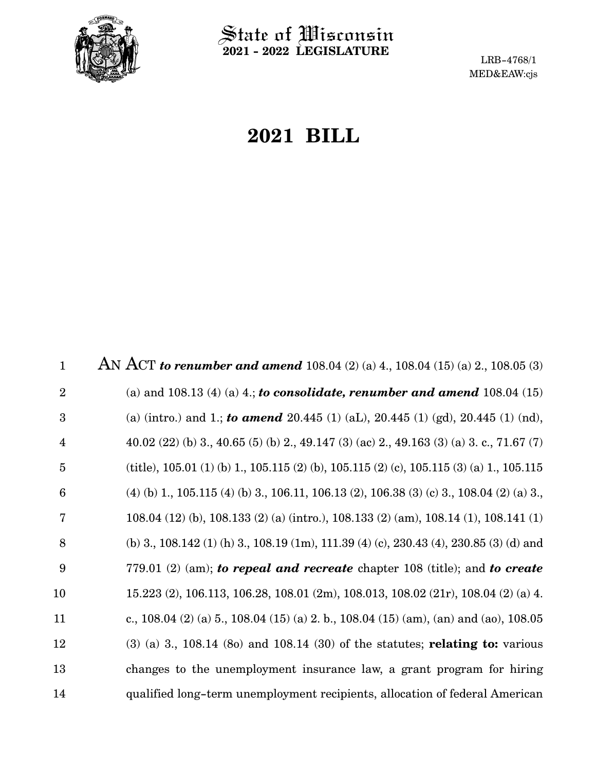

 $\operatorname{\mathsf{State}}$  of Wisconsin **2021 - 2022 LEGISLATURE**

LRB-4768/1 MED&EAW:cjs

# **2021 BILL**

AN ACT *to renumber and amend* 108.04 (2) (a) 4., 108.04 (15) (a) 2., 108.05 (3) (a) and 108.13 (4) (a) 4.; *to consolidate, renumber and amend* 108.04 (15) (a) (intro.) and 1.; *to amend* 20.445 (1) (aL), 20.445 (1) (gd), 20.445 (1) (nd), 40.02 (22) (b) 3., 40.65 (5) (b) 2., 49.147 (3) (ac) 2., 49.163 (3) (a) 3. c., 71.67 (7) (title), 105.01 (1) (b) 1., 105.115 (2) (b), 105.115 (2) (c), 105.115 (3) (a) 1., 105.115 (4) (b) 1., 105.115 (4) (b) 3., 106.11, 106.13 (2), 106.38 (3) (c) 3., 108.04 (2) (a) 3., 108.04 (12) (b), 108.133 (2) (a) (intro.), 108.133 (2) (am), 108.14 (1), 108.141 (1) (b) 3., 108.142 (1) (h) 3., 108.19 (1m), 111.39 (4) (c), 230.43 (4), 230.85 (3) (d) and 779.01 (2) (am); *to repeal and recreate* chapter 108 (title); and *to create* 15.223 (2), 106.113, 106.28, 108.01 (2m), 108.013, 108.02 (21r), 108.04 (2) (a) 4. c., 108.04 (2) (a) 5., 108.04 (15) (a) 2. b., 108.04 (15) (am), (an) and (ao), 108.05 (3) (a) 3., 108.14 (8o) and 108.14 (30) of the statutes; **relating to:** various changes to the unemployment insurance law, a grant program for hiring qualified long-term unemployment recipients, allocation of federal American 1 2 3 4 5 6 7 8 9 10 11 12 13 14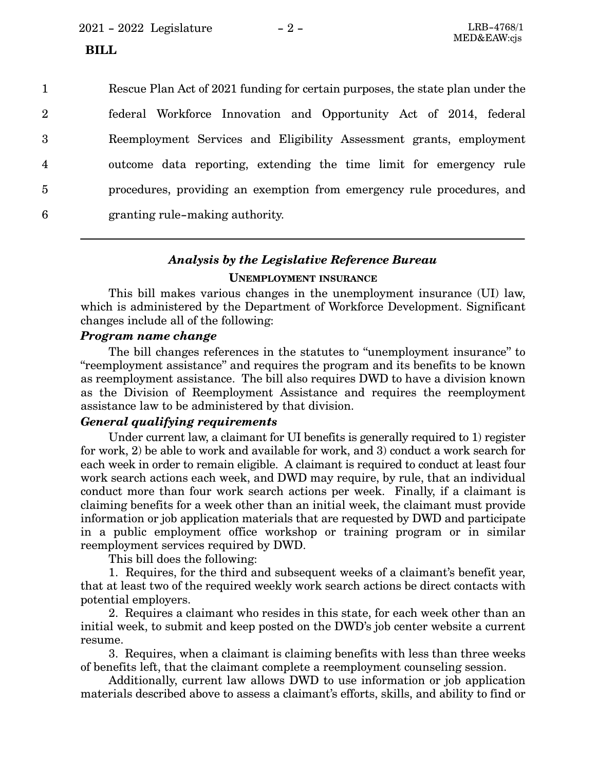2021 - 2022 Legislature - 2 - LRB-4768/1

#### **BILL**

Rescue Plan Act of 2021 funding for certain purposes, the state plan under the federal Workforce Innovation and Opportunity Act of 2014, federal Reemployment Services and Eligibility Assessment grants, employment outcome data reporting, extending the time limit for emergency rule procedures, providing an exemption from emergency rule procedures, and granting rule-making authority. 1 2 3 4 5 6

#### *Analysis by the Legislative Reference Bureau*

#### **UNEMPLOYMENT INSURANCE**

This bill makes various changes in the unemployment insurance (UI) law, which is administered by the Department of Workforce Development. Significant changes include all of the following:

#### *Program name change*

The bill changes references in the statutes to "unemployment insurance" to "reemployment assistance" and requires the program and its benefits to be known as reemployment assistance. The bill also requires DWD to have a division known as the Division of Reemployment Assistance and requires the reemployment assistance law to be administered by that division.

#### *General qualifying requirements*

Under current law, a claimant for UI benefits is generally required to 1) register for work, 2) be able to work and available for work, and 3) conduct a work search for each week in order to remain eligible. A claimant is required to conduct at least four work search actions each week, and DWD may require, by rule, that an individual conduct more than four work search actions per week. Finally, if a claimant is claiming benefits for a week other than an initial week, the claimant must provide information or job application materials that are requested by DWD and participate in a public employment office workshop or training program or in similar reemployment services required by DWD.

This bill does the following:

1. Requires, for the third and subsequent weeks of a claimant's benefit year, that at least two of the required weekly work search actions be direct contacts with potential employers.

2. Requires a claimant who resides in this state, for each week other than an initial week, to submit and keep posted on the DWD's job center website a current resume.

3. Requires, when a claimant is claiming benefits with less than three weeks of benefits left, that the claimant complete a reemployment counseling session.

Additionally, current law allows DWD to use information or job application materials described above to assess a claimant's efforts, skills, and ability to find or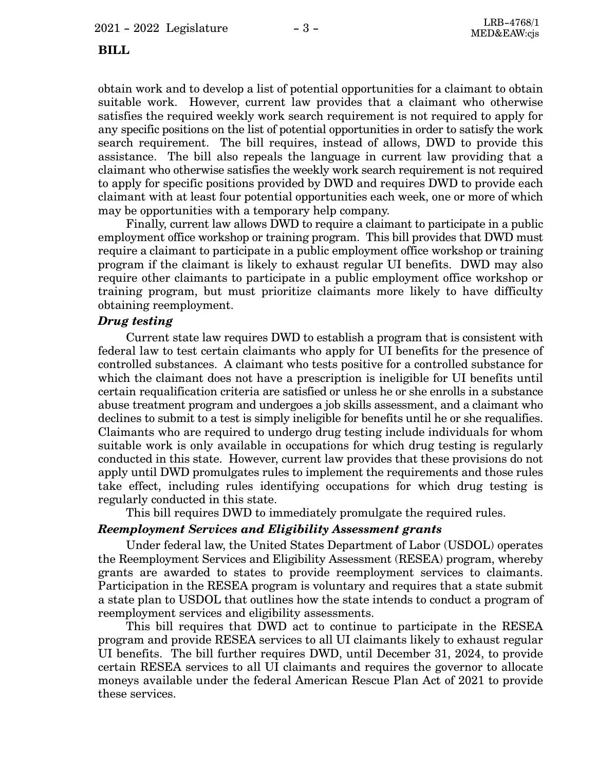#### **BILL**

obtain work and to develop a list of potential opportunities for a claimant to obtain suitable work. However, current law provides that a claimant who otherwise satisfies the required weekly work search requirement is not required to apply for any specific positions on the list of potential opportunities in order to satisfy the work search requirement. The bill requires, instead of allows, DWD to provide this assistance. The bill also repeals the language in current law providing that a claimant who otherwise satisfies the weekly work search requirement is not required to apply for specific positions provided by DWD and requires DWD to provide each claimant with at least four potential opportunities each week, one or more of which may be opportunities with a temporary help company.

Finally, current law allows DWD to require a claimant to participate in a public employment office workshop or training program. This bill provides that DWD must require a claimant to participate in a public employment office workshop or training program if the claimant is likely to exhaust regular UI benefits. DWD may also require other claimants to participate in a public employment office workshop or training program, but must prioritize claimants more likely to have difficulty obtaining reemployment.

## *Drug testing*

Current state law requires DWD to establish a program that is consistent with federal law to test certain claimants who apply for UI benefits for the presence of controlled substances. A claimant who tests positive for a controlled substance for which the claimant does not have a prescription is ineligible for UI benefits until certain requalification criteria are satisfied or unless he or she enrolls in a substance abuse treatment program and undergoes a job skills assessment, and a claimant who declines to submit to a test is simply ineligible for benefits until he or she requalifies. Claimants who are required to undergo drug testing include individuals for whom suitable work is only available in occupations for which drug testing is regularly conducted in this state. However, current law provides that these provisions do not apply until DWD promulgates rules to implement the requirements and those rules take effect, including rules identifying occupations for which drug testing is regularly conducted in this state.

This bill requires DWD to immediately promulgate the required rules.

#### *Reemployment Services and Eligibility Assessment grants*

Under federal law, the United States Department of Labor (USDOL) operates the Reemployment Services and Eligibility Assessment (RESEA) program, whereby grants are awarded to states to provide reemployment services to claimants. Participation in the RESEA program is voluntary and requires that a state submit a state plan to USDOL that outlines how the state intends to conduct a program of reemployment services and eligibility assessments.

This bill requires that DWD act to continue to participate in the RESEA program and provide RESEA services to all UI claimants likely to exhaust regular UI benefits. The bill further requires DWD, until December 31, 2024, to provide certain RESEA services to all UI claimants and requires the governor to allocate moneys available under the federal American Rescue Plan Act of 2021 to provide these services.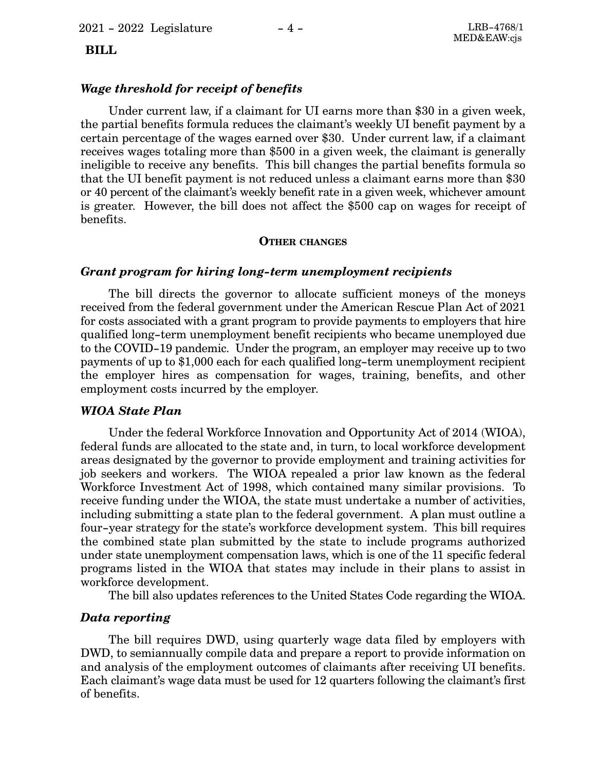## **BILL**

#### *Wage threshold for receipt of benefits*

Under current law, if a claimant for UI earns more than \$30 in a given week, the partial benefits formula reduces the claimant's weekly UI benefit payment by a certain percentage of the wages earned over \$30. Under current law, if a claimant receives wages totaling more than \$500 in a given week, the claimant is generally ineligible to receive any benefits. This bill changes the partial benefits formula so that the UI benefit payment is not reduced unless a claimant earns more than \$30 or 40 percent of the claimant's weekly benefit rate in a given week, whichever amount is greater. However, the bill does not affect the \$500 cap on wages for receipt of benefits.

#### **OTHER CHANGES**

#### *Grant program for hiring long-term unemployment recipients*

The bill directs the governor to allocate sufficient moneys of the moneys received from the federal government under the American Rescue Plan Act of 2021 for costs associated with a grant program to provide payments to employers that hire qualified long-term unemployment benefit recipients who became unemployed due to the COVID-19 pandemic. Under the program, an employer may receive up to two payments of up to \$1,000 each for each qualified long-term unemployment recipient the employer hires as compensation for wages, training, benefits, and other employment costs incurred by the employer.

#### *WIOA State Plan*

Under the federal Workforce Innovation and Opportunity Act of 2014 (WIOA), federal funds are allocated to the state and, in turn, to local workforce development areas designated by the governor to provide employment and training activities for job seekers and workers. The WIOA repealed a prior law known as the federal Workforce Investment Act of 1998, which contained many similar provisions. To receive funding under the WIOA, the state must undertake a number of activities, including submitting a state plan to the federal government. A plan must outline a four-year strategy for the state's workforce development system. This bill requires the combined state plan submitted by the state to include programs authorized under state unemployment compensation laws, which is one of the 11 specific federal programs listed in the WIOA that states may include in their plans to assist in workforce development.

The bill also updates references to the United States Code regarding the WIOA.

#### *Data reporting*

The bill requires DWD, using quarterly wage data filed by employers with DWD, to semiannually compile data and prepare a report to provide information on and analysis of the employment outcomes of claimants after receiving UI benefits. Each claimant's wage data must be used for 12 quarters following the claimant's first of benefits.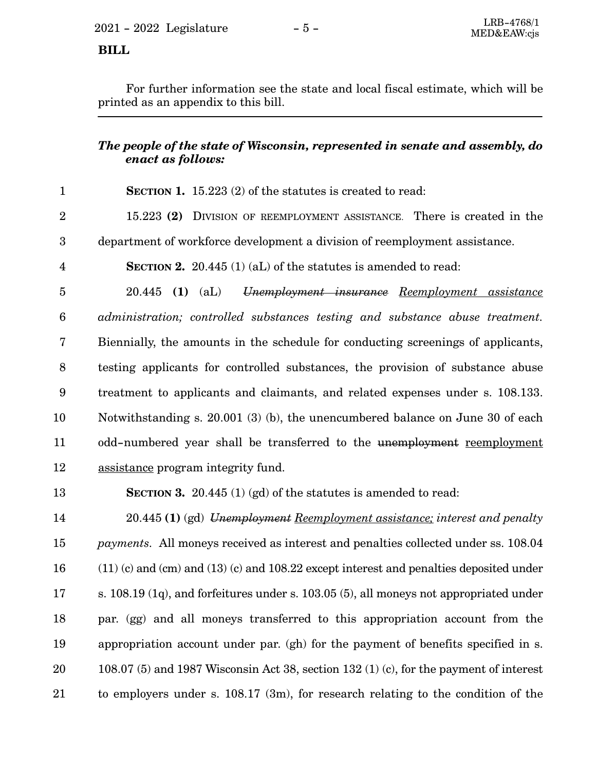$2021 - 2022$  Legislature  $-5 -$ <br>MED&EAW.cis

 **BILL** 

For further information see the state and local fiscal estimate, which will be printed as an appendix to this bill.

# *The people of the state of Wisconsin, represented in senate and assembly, do enact as follows:*

| $\mathbf{1}$     | <b>SECTION 1.</b> 15.223 $(2)$ of the statutes is created to read:                         |
|------------------|--------------------------------------------------------------------------------------------|
| $\overline{2}$   | 15.223 (2) DIVISION OF REEMPLOYMENT ASSISTANCE. There is created in the                    |
| $\boldsymbol{3}$ | department of workforce development a division of reemployment assistance.                 |
| $\overline{4}$   | <b>SECTION 2.</b> 20.445 (1) (aL) of the statures is amended to read:                      |
| $\overline{5}$   | $20.445$ (1) (aL)<br>Unemployment insurance Reemployment assistance                        |
| $\boldsymbol{6}$ | administration; controlled substances testing and substance abuse treatment.               |
| 7                | Biennially, the amounts in the schedule for conducting screenings of applicants,           |
| $8\,$            | testing applicants for controlled substances, the provision of substance abuse             |
| $\boldsymbol{9}$ | treatment to applicants and claimants, and related expenses under s. 108.133.              |
| 10               | Notwithstanding s. 20.001 (3) (b), the unencumbered balance on June 30 of each             |
| 11               | odd-numbered year shall be transferred to the unemployment reemployment                    |
| 12               | assistance program integrity fund.                                                         |
| 13               | SECTION 3. 20.445 $(1)$ (gd) of the statutes is amended to read:                           |
| 14               | 20.445 (1) (gd) Unemployment Reemployment assistance; interest and penalty                 |
| 15               | <i>payments.</i> All moneys received as interest and penalties collected under ss. 108.04  |
| 16               | $(11)$ (c) and (cm) and (13) (c) and 108.22 except interest and penalties deposited under  |
| 17               | s. $108.19$ (1q), and forfeitures under s. $103.05$ (5), all moneys not appropriated under |
| 18               | par. (gg) and all moneys transferred to this appropriation account from the                |
| 19               | appropriation account under par. (gh) for the payment of benefits specified in s.          |
| 20               | 108.07 (5) and 1987 Wisconsin Act 38, section 132 (1) (c), for the payment of interest     |
| 21               | to employers under s. $108.17$ (3m), for research relating to the condition of the         |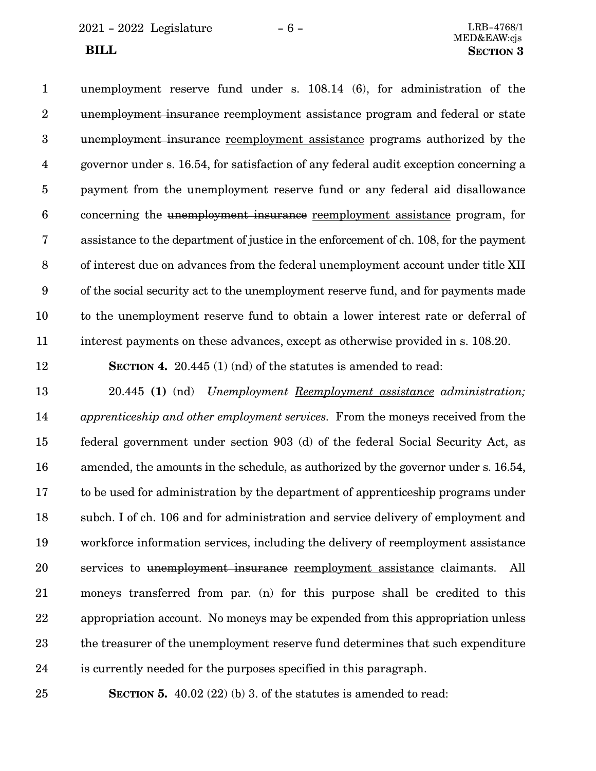unemployment reserve fund under s. 108.14 (6), for administration of the unemployment insurance reemployment assistance program and federal or state unemployment insurance reemployment assistance programs authorized by the governor under s. 16.54, for satisfaction of any federal audit exception concerning a payment from the unemployment reserve fund or any federal aid disallowance concerning the unemployment insurance reemployment assistance program, for assistance to the department of justice in the enforcement of ch. 108, for the payment of interest due on advances from the federal unemployment account under title XII of the social security act to the unemployment reserve fund, and for payments made to the unemployment reserve fund to obtain a lower interest rate or deferral of interest payments on these advances, except as otherwise provided in s. 108.20. 1 2 3 4 5 6 7 8 9 10 11

12

**SECTION 4.** 20.445 (1) (nd) of the statutes is amended to read:

20.445 **(1)** (nd) *Unemployment Reemployment assistance administration; apprenticeship and other employment services.* From the moneys received from the federal government under section 903 (d) of the federal Social Security Act, as amended, the amounts in the schedule, as authorized by the governor under s. 16.54, to be used for administration by the department of apprenticeship programs under subch. I of ch. 106 and for administration and service delivery of employment and workforce information services, including the delivery of reemployment assistance services to unemployment insurance reemployment assistance claimants. All moneys transferred from par. (n) for this purpose shall be credited to this appropriation account. No moneys may be expended from this appropriation unless the treasurer of the unemployment reserve fund determines that such expenditure is currently needed for the purposes specified in this paragraph. 13 14 15 16 17 18 19 20 21 22 23 24

25

**SECTION 5.** 40.02 (22) (b) 3. of the statutes is amended to read: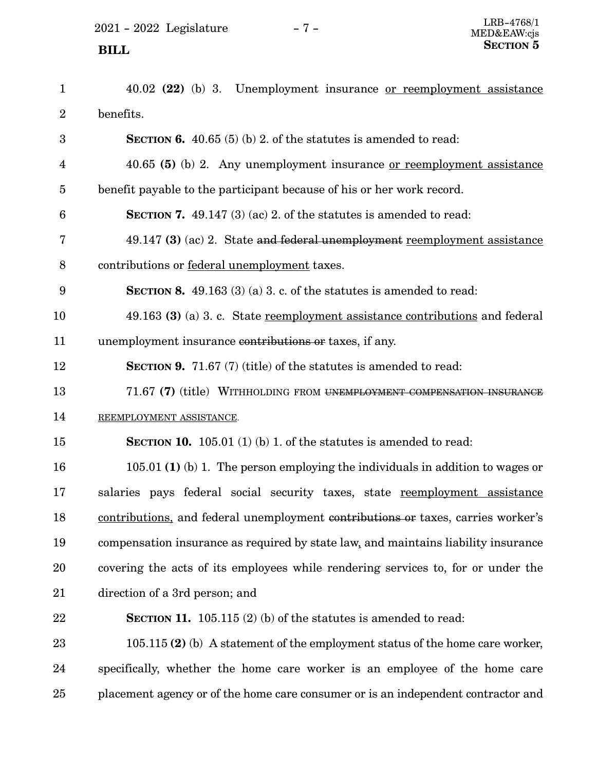$2021$  -  $2022$  Legislature -  $7$  -

| $\mathbf{1}$   | 40.02 (22) (b) 3. Unemployment insurance <u>or reemployment assistance</u>         |
|----------------|------------------------------------------------------------------------------------|
| $\overline{2}$ | benefits.                                                                          |
| 3              | SECTION 6. $40.65(5)(b)$ 2. of the statutes is amended to read:                    |
| $\overline{4}$ | 40.65 (5) (b) 2. Any unemployment insurance <u>or reemployment assistance</u>      |
| $\overline{5}$ | benefit payable to the participant because of his or her work record.              |
| 6              | <b>SECTION 7.</b> 49.147 (3) (ac) 2. of the statutes is amended to read:           |
| 7              | 49.147 (3) (ac) 2. State and federal unemployment reemployment assistance          |
| 8              | contributions or federal unemployment taxes.                                       |
| 9              | <b>SECTION 8.</b> 49.163 (3) (a) 3. c. of the statures is amended to read:         |
| 10             | 49.163 (3) (a) 3. c. State reemployment assistance contributions and federal       |
| 11             | unemployment insurance contributions or taxes, if any.                             |
| 12             | <b>SECTION 9.</b> 71.67 (7) (title) of the statutes is amended to read:            |
| 13             | 71.67 (7) (title) WITHHOLDING FROM UNEMPLOYMENT COMPENSATION INSURANCE             |
| 14             | REEMPLOYMENT ASSISTANCE.                                                           |
| 15             | <b>SECTION 10.</b> 105.01 (1) (b) 1. of the statutes is amended to read:           |
| 16             | 105.01 (1) (b) 1. The person employing the individuals in addition to wages or     |
| 17             | salaries pays federal social security taxes, state reemployment assistance         |
| 18             | contributions, and federal unemployment contributions or taxes, carries worker's   |
| 19             | compensation insurance as required by state law, and maintains liability insurance |
| 20             | covering the acts of its employees while rendering services to, for or under the   |
| 21             | direction of a 3rd person; and                                                     |
| 22             | SECTION 11. $105.115$ (2) (b) of the statutes is amended to read:                  |
| 23             | $105.115$ (2) (b) A statement of the employment status of the home care worker,    |
| 24             | specifically, whether the home care worker is an employee of the home care         |
| 25             | placement agency or of the home care consumer or is an independent contractor and  |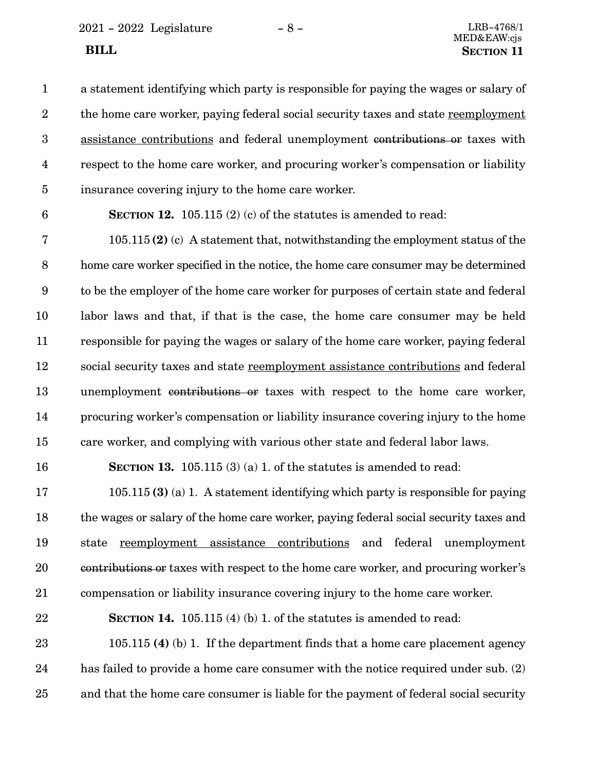2021 - 2022 Legislature - 8 - LRB-4768/1

a statement identifying which party is responsible for paying the wages or salary of the home care worker, paying federal social security taxes and state reemployment assistance contributions and federal unemployment contributions or taxes with respect to the home care worker, and procuring worker's compensation or liability insurance covering injury to the home care worker. 1 2 3 4 5

6

**SECTION 12.** 105.115 (2) (c) of the statutes is amended to read:

105.115 **(2)** (c) A statement that, notwithstanding the employment status of the home care worker specified in the notice, the home care consumer may be determined to be the employer of the home care worker for purposes of certain state and federal labor laws and that, if that is the case, the home care consumer may be held responsible for paying the wages or salary of the home care worker, paying federal social security taxes and state reemployment assistance contributions and federal unemployment contributions or taxes with respect to the home care worker, procuring worker's compensation or liability insurance covering injury to the home care worker, and complying with various other state and federal labor laws. 7 8 9 10 11 12 13 14 15

16

**SECTION 13.** 105.115 (3) (a) 1. of the statutes is amended to read:

105.115 **(3)** (a) 1. A statement identifying which party is responsible for paying the wages or salary of the home care worker, paying federal social security taxes and state reemployment assistance contributions and federal unemployment contributions or taxes with respect to the home care worker, and procuring worker's compensation or liability insurance covering injury to the home care worker. 17 18 19 20 21

#### **SECTION 14.** 105.115 (4) (b) 1. of the statutes is amended to read: 22

105.115 **(4)** (b) 1. If the department finds that a home care placement agency has failed to provide a home care consumer with the notice required under sub. (2) and that the home care consumer is liable for the payment of federal social security 23 24 25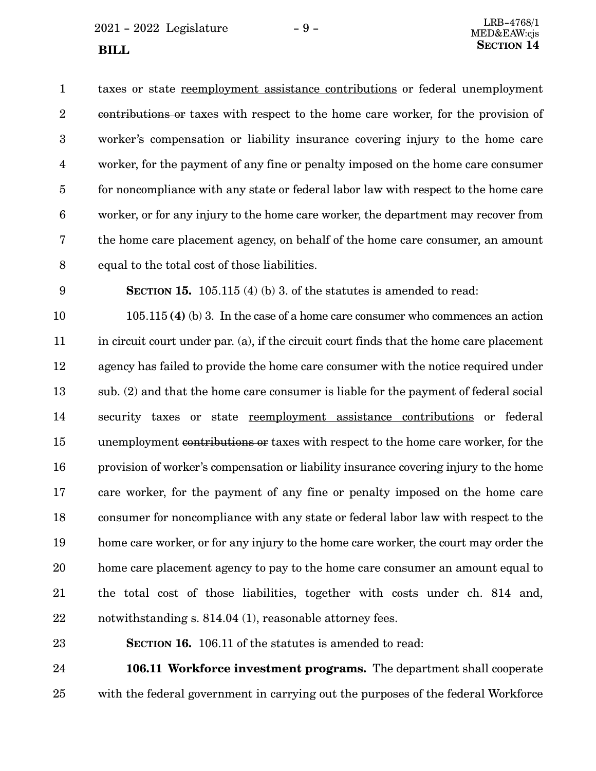$2021 - 2022$  Legislature  $-9 -$ 

taxes or state reemployment assistance contributions or federal unemployment contributions or taxes with respect to the home care worker, for the provision of worker's compensation or liability insurance covering injury to the home care worker, for the payment of any fine or penalty imposed on the home care consumer for noncompliance with any state or federal labor law with respect to the home care worker, or for any injury to the home care worker, the department may recover from the home care placement agency, on behalf of the home care consumer, an amount equal to the total cost of those liabilities. 1 2 3 4 5 6 7 8

9

**SECTION 15.** 105.115 (4) (b) 3. of the statutes is amended to read:

105.115 **(4)** (b) 3. In the case of a home care consumer who commences an action in circuit court under par. (a), if the circuit court finds that the home care placement agency has failed to provide the home care consumer with the notice required under sub. (2) and that the home care consumer is liable for the payment of federal social security taxes or state reemployment assistance contributions or federal unemployment contributions or taxes with respect to the home care worker, for the provision of worker's compensation or liability insurance covering injury to the home care worker, for the payment of any fine or penalty imposed on the home care consumer for noncompliance with any state or federal labor law with respect to the home care worker, or for any injury to the home care worker, the court may order the home care placement agency to pay to the home care consumer an amount equal to the total cost of those liabilities, together with costs under ch. 814 and, notwithstanding s. 814.04 (1), reasonable attorney fees. 10 11 12 13 14 15 16 17 18 19 20 21 22

23

**SECTION 16.** 106.11 of the statutes is amended to read:

**106.11 Workforce investment programs.** The department shall cooperate with the federal government in carrying out the purposes of the federal Workforce 24 25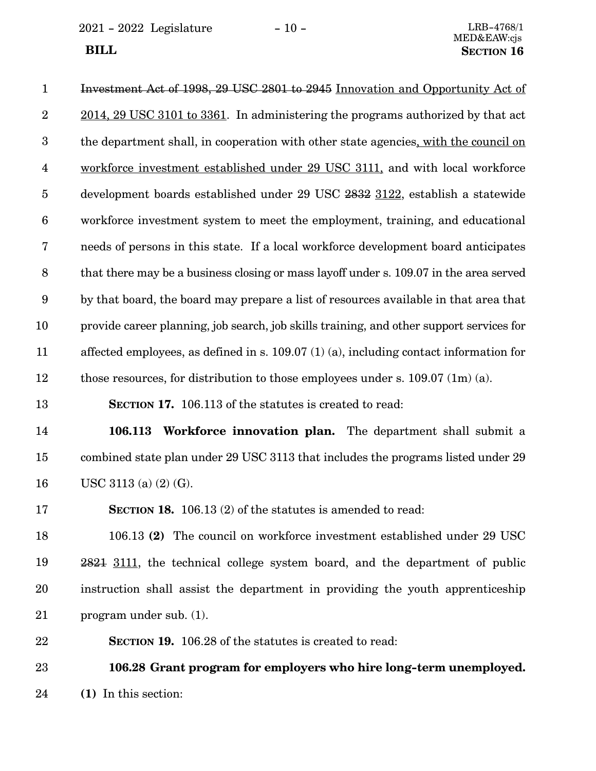2021 - 2022 Legislature - 10 - LRB-4768/1

| $\mathbf{1}$            | Investment Act of 1998, 29 USC 2801 to 2945 Innovation and Opportunity Act of            |
|-------------------------|------------------------------------------------------------------------------------------|
| $\overline{2}$          | 2014, 29 USC 3101 to 3361. In administering the programs authorized by that act          |
| 3                       | the department shall, in cooperation with other state agencies, with the council on      |
| $\overline{\mathbf{4}}$ | workforce investment established under 29 USC 3111, and with local workforce             |
| $\bf 5$                 | development boards established under 29 USC 2832 3122, establish a statewide             |
| $\boldsymbol{6}$        | workforce investment system to meet the employment, training, and educational            |
| $\bf 7$                 | needs of persons in this state. If a local workforce development board anticipates       |
| $\, 8$                  | that there may be a business closing or mass layoff under s. 109.07 in the area served   |
| 9                       | by that board, the board may prepare a list of resources available in that area that     |
| 10                      | provide career planning, job search, job skills training, and other support services for |
| 11                      | affected employees, as defined in s. $109.07(1)(a)$ , including contact information for  |
| 12                      | those resources, for distribution to those employees under s. $109.07$ (1m) (a).         |
| 13                      | SECTION 17. 106.113 of the statutes is created to read:                                  |
| 14                      | 106.113<br><b>Workforce innovation plan.</b> The department shall submit a               |
| 15                      | combined state plan under 29 USC 3113 that includes the programs listed under 29         |

USC 3113 (a) (2) (G). 16

**SECTION 18.** 106.13 (2) of the statutes is amended to read: 17

106.13 **(2)** The council on workforce investment established under 29 USC 2821 3111, the technical college system board, and the department of public instruction shall assist the department in providing the youth apprenticeship program under sub. (1). 18 19 20 21

**SECTION 19.** 106.28 of the statutes is created to read: 22

**106.28 Grant program for employers who hire long-term unemployed. (1)** In this section: 23 24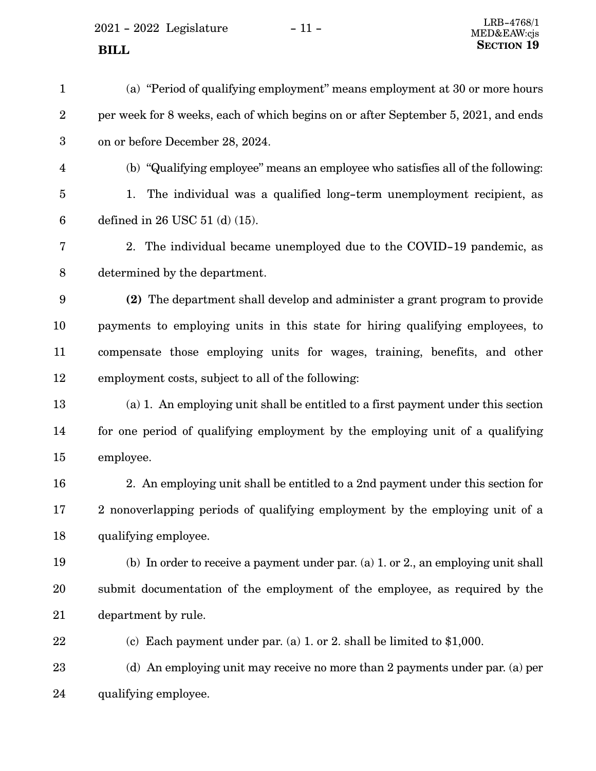2021 - 2022 Legislature - 11 -

MED&EAW:cjs

| $\mathbf{1}$            | (a) "Period of qualifying employment" means employment at 30 or more hours         |
|-------------------------|------------------------------------------------------------------------------------|
| $\boldsymbol{2}$        | per week for 8 weeks, each of which begins on or after September 5, 2021, and ends |
| $\boldsymbol{3}$        | on or before December 28, 2024.                                                    |
| $\overline{\mathbf{4}}$ | (b) "Qualifying employee" means an employee who satisfies all of the following:    |
| $\bf 5$                 | The individual was a qualified long-term unemployment recipient, as<br>1.          |
| $6\phantom{.}6$         | defined in $26$ USC $51$ (d) $(15)$ .                                              |
| 7                       | 2. The individual became unemployed due to the COVID-19 pandemic, as               |
| $8\,$                   | determined by the department.                                                      |
| 9                       | (2) The department shall develop and administer a grant program to provide         |
| 10                      | payments to employing units in this state for hiring qualifying employees, to      |
| 11                      | compensate those employing units for wages, training, benefits, and other          |
| 12                      | employment costs, subject to all of the following:                                 |
| 13                      | (a) 1. An employing unit shall be entitled to a first payment under this section   |
| 14                      | for one period of qualifying employment by the employing unit of a qualifying      |
| 15                      | employee.                                                                          |
| 16                      | 2. An employing unit shall be entitled to a 2nd payment under this section for     |
| 17                      | 2 nonoverlapping periods of qualifying employment by the employing unit of a       |
| 18                      | qualifying employee.                                                               |
| 19                      | (b) In order to receive a payment under par. (a) 1. or 2., an employing unit shall |
| 20                      | submit documentation of the employment of the employee, as required by the         |
| 21                      | department by rule.                                                                |
| 22                      | (c) Each payment under par. (a) 1. or 2. shall be limited to $$1,000$ .            |
| 23                      | (d) An employing unit may receive no more than 2 payments under par. (a) per       |
| 24                      | qualifying employee.                                                               |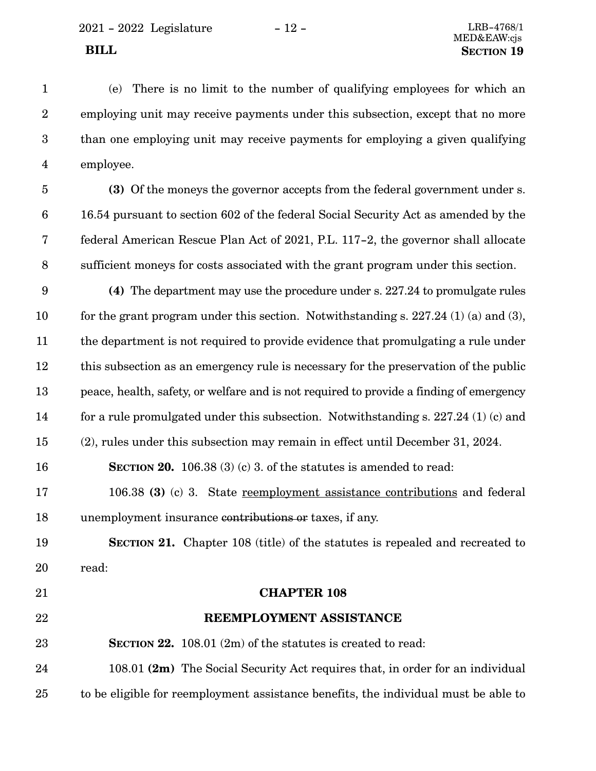(e) There is no limit to the number of qualifying employees for which an employing unit may receive payments under this subsection, except that no more than one employing unit may receive payments for employing a given qualifying employee. 1 2 3 4

- **(3)** Of the moneys the governor accepts from the federal government under s. 16.54 pursuant to section 602 of the federal Social Security Act as amended by the federal American Rescue Plan Act of 2021, P.L. 117-2, the governor shall allocate sufficient moneys for costs associated with the grant program under this section. 5 6 7 8
- **(4)** The department may use the procedure under s. 227.24 to promulgate rules for the grant program under this section. Notwithstanding s. 227.24 (1) (a) and (3), the department is not required to provide evidence that promulgating a rule under this subsection as an emergency rule is necessary for the preservation of the public peace, health, safety, or welfare and is not required to provide a finding of emergency for a rule promulgated under this subsection. Notwithstanding s. 227.24 (1) (c) and (2), rules under this subsection may remain in effect until December 31, 2024. 9 10 11 12 13 14 15
- **SECTION 20.** 106.38 (3) (c) 3. of the statutes is amended to read: 16
- 106.38 **(3)** (c) 3. State reemployment assistance contributions and federal unemployment insurance contributions or taxes, if any. 17 18
- **SECTION 21.** Chapter 108 (title) of the statutes is repealed and recreated to read: 19 20
- **CHAPTER 108 REEMPLOYMENT ASSISTANCE SECTION 22.** 108.01 (2m) of the statutes is created to read: 108.01 **(2m)** The Social Security Act requires that, in order for an individual to be eligible for reemployment assistance benefits, the individual must be able to 21 22 23 24 25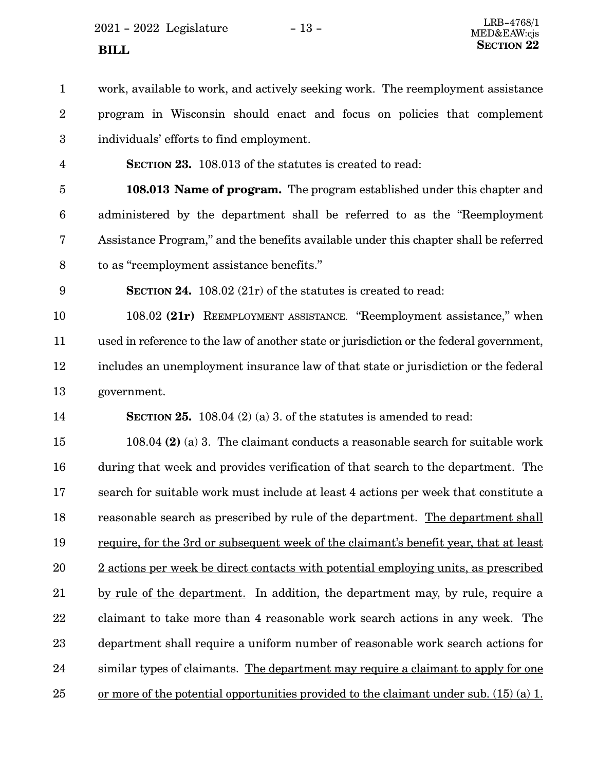$2021 - 2022$  Legislature  $-13 -$ **SECTION** 22

work, available to work, and actively seeking work. The reemployment assistance program in Wisconsin should enact and focus on policies that complement individuals' efforts to find employment. 1 2 3

4

**SECTION 23.** 108.013 of the statutes is created to read:

**108.013 Name of program.** The program established under this chapter and administered by the department shall be referred to as the "Reemployment Assistance Program," and the benefits available under this chapter shall be referred to as "reemployment assistance benefits." 5 6 7 8

9

**SECTION 24.** 108.02 (21r) of the statutes is created to read:

108.02 **(21r)** REEMPLOYMENT ASSISTANCE. "Reemployment assistance," when used in reference to the law of another state or jurisdiction or the federal government, includes an unemployment insurance law of that state or jurisdiction or the federal government. 10 11 12 13

**SECTION 25.** 108.04 (2) (a) 3. of the statutes is amended to read: 14

108.04 **(2)** (a) 3. The claimant conducts a reasonable search for suitable work during that week and provides verification of that search to the department. The search for suitable work must include at least 4 actions per week that constitute a reasonable search as prescribed by rule of the department. The department shall require, for the 3rd or subsequent week of the claimant's benefit year, that at least 2 actions per week be direct contacts with potential employing units, as prescribed by rule of the department. In addition, the department may, by rule, require a claimant to take more than 4 reasonable work search actions in any week. The department shall require a uniform number of reasonable work search actions for similar types of claimants. The department may require a claimant to apply for one or more of the potential opportunities provided to the claimant under sub. (15) (a) 1. 15 16 17 18 19 20 21 22 23 24 25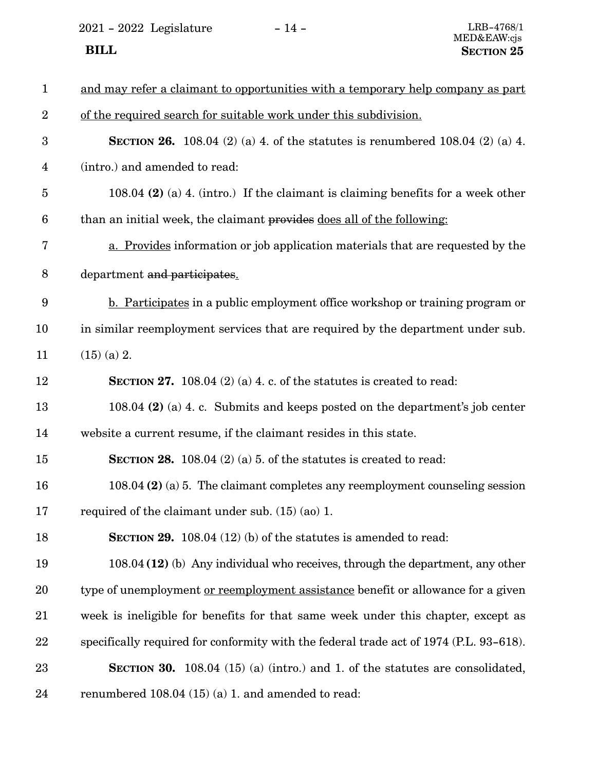2021 - 2022 Legislature - 14 -

| $\mathbf{1}$            | and may refer a claimant to opportunities with a temporary help company as part         |
|-------------------------|-----------------------------------------------------------------------------------------|
| $\overline{2}$          | of the required search for suitable work under this subdivision.                        |
| 3                       | <b>SECTION 26.</b> 108.04 (2) (a) 4. of the statutes is renumbered 108.04 (2) (a) 4.    |
| $\overline{\mathbf{4}}$ | (intro.) and amended to read:                                                           |
| 5                       | 108.04 (2) (a) 4. (intro.) If the claimant is claiming benefits for a week other        |
| 6                       | than an initial week, the claimant provides does all of the following:                  |
| 7                       | a. Provides information or job application materials that are requested by the          |
| 8                       | department and participates.                                                            |
| 9                       | <b>b.</b> Participates in a public employment office workshop or training program or    |
| 10                      | in similar reemployment services that are required by the department under sub.         |
| 11                      | $(15)$ (a) 2.                                                                           |
| 12                      | <b>SECTION 27.</b> 108.04 (2) (a) 4. c. of the statures is created to read:             |
| 13                      | 108.04 (2) (a) 4. c. Submits and keeps posted on the department's job center            |
| 14                      | website a current resume, if the claimant resides in this state.                        |
| 15                      | <b>SECTION 28.</b> 108.04 (2) (a) 5. of the statutes is created to read:                |
| 16                      | 108.04 $(2)$ (a) 5. The claimant completes any reemployment counseling session          |
| 17                      | required of the claimant under sub. $(15)$ (ao) 1.                                      |
| 18                      | <b>SECTION 29.</b> 108.04 (12) (b) of the statutes is amended to read:                  |
| 19                      | $108.04$ (12) (b) Any individual who receives, through the department, any other        |
| 20                      | type of unemployment <u>or reemployment assistance</u> benefit or allowance for a given |
| 21                      | week is ineligible for benefits for that same week under this chapter, except as        |
| 22                      | specifically required for conformity with the federal trade act of 1974 (P.L. 93-618).  |
| 23                      | <b>SECTION 30.</b> 108.04 (15) (a) (intro.) and 1. of the statutes are consolidated,    |
| 24                      | renumbered 108.04 (15) (a) 1. and amended to read:                                      |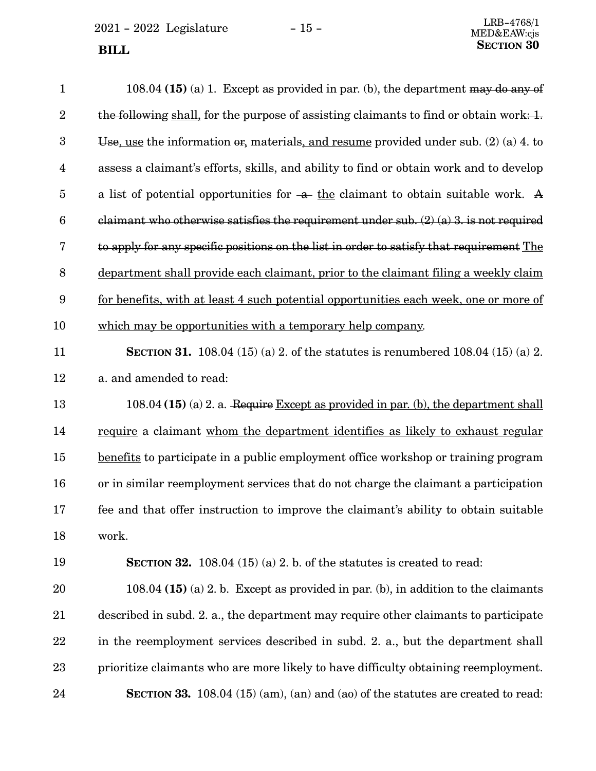$\,$  2021 - 2022  $\,$  Legislature  $\,$   $\,$   $\,$  –  $\,$  15 -  $\,$ **SECTION** 30

| $\mathbf{1}$            | 108.04 (15) (a) 1. Except as provided in par. (b), the department may do any of             |
|-------------------------|---------------------------------------------------------------------------------------------|
| $\overline{2}$          | the following shall, for the purpose of assisting claimants to find or obtain work: $1$ .   |
| 3                       | Use, use the information $\theta$ , materials, and resume provided under sub. (2) (a) 4. to |
| $\overline{\mathbf{4}}$ | assess a claimant's efforts, skills, and ability to find or obtain work and to develop      |
| $\overline{5}$          | a list of potential opportunities for $-a$ the claimant to obtain suitable work. A          |
| $6\phantom{.}6$         | claimant who otherwise satisfies the requirement under sub. $(2)$ (a) 3. is not required    |
| 7                       | to apply for any specific positions on the list in order to satisfy that requirement The    |
| $\, 8$                  | department shall provide each claimant, prior to the claimant filing a weekly claim         |
| $\boldsymbol{9}$        | for benefits, with at least 4 such potential opportunities each week, one or more of        |
| 10                      | which may be opportunities with a temporary help company.                                   |
| 11                      | <b>SECTION 31.</b> 108.04 (15) (a) 2. of the statutes is renumbered 108.04 (15) (a) 2.      |
| 12                      | a. and amended to read:                                                                     |
| 13                      | 108.04 (15) (a) 2. a. Require Except as provided in par. (b), the department shall          |
| 14                      | require a claimant whom the department identifies as likely to exhaust regular              |
| 15                      | benefits to participate in a public employment office workshop or training program          |
| 16                      | or in similar reemployment services that do not charge the claimant a participation         |
| 17                      | fee and that offer instruction to improve the claimant's ability to obtain suitable         |
| 18                      | work.                                                                                       |
| 19                      | <b>SECTION 32.</b> 108.04 (15) (a) 2. b. of the statures is created to read:                |
| 20                      | 108.04 $(15)$ (a) 2. b. Except as provided in par. (b), in addition to the claimants        |
| 21                      | described in subd. 2. a., the department may require other claimants to participate         |
| 22                      | in the reemployment services described in subd. 2. a., but the department shall             |
| 23                      | prioritize claimants who are more likely to have difficulty obtaining reemployment.         |
| 24                      | SECTION 33. 108.04 (15) (am), (an) and (ao) of the statutes are created to read:            |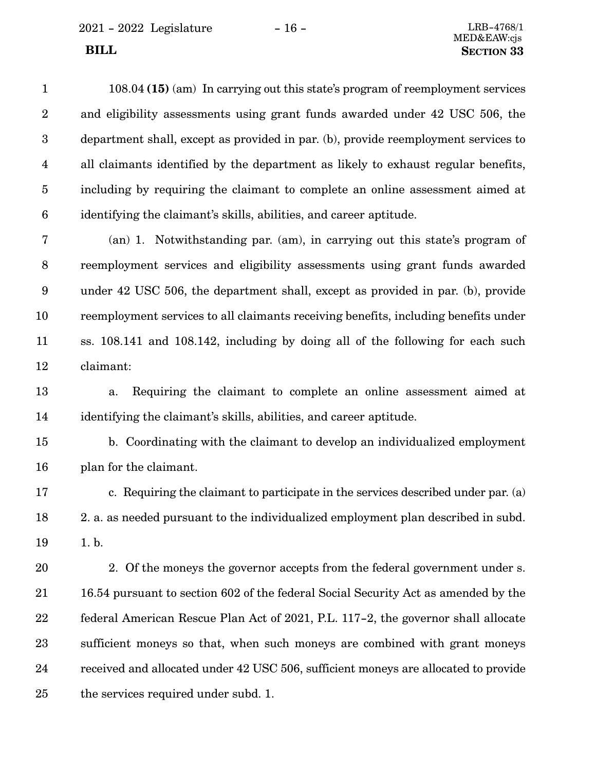108.04 **(15)** (am) In carrying out this state's program of reemployment services and eligibility assessments using grant funds awarded under 42 USC 506, the department shall, except as provided in par. (b), provide reemployment services to all claimants identified by the department as likely to exhaust regular benefits, including by requiring the claimant to complete an online assessment aimed at identifying the claimant's skills, abilities, and career aptitude. 1 2 3 4 5 6

(an) 1. Notwithstanding par. (am), in carrying out this state's program of reemployment services and eligibility assessments using grant funds awarded under 42 USC 506, the department shall, except as provided in par. (b), provide reemployment services to all claimants receiving benefits, including benefits under ss. 108.141 and 108.142, including by doing all of the following for each such claimant: 7 8 9 10 11 12

a. Requiring the claimant to complete an online assessment aimed at identifying the claimant's skills, abilities, and career aptitude. 13 14

b. Coordinating with the claimant to develop an individualized employment plan for the claimant. 15 16

c. Requiring the claimant to participate in the services described under par. (a) 2. a. as needed pursuant to the individualized employment plan described in subd. 1. b. 17 18 19

2. Of the moneys the governor accepts from the federal government under s. 16.54 pursuant to section 602 of the federal Social Security Act as amended by the federal American Rescue Plan Act of 2021, P.L. 117-2, the governor shall allocate sufficient moneys so that, when such moneys are combined with grant moneys received and allocated under 42 USC 506, sufficient moneys are allocated to provide the services required under subd. 1. 20 21 22 23 24 25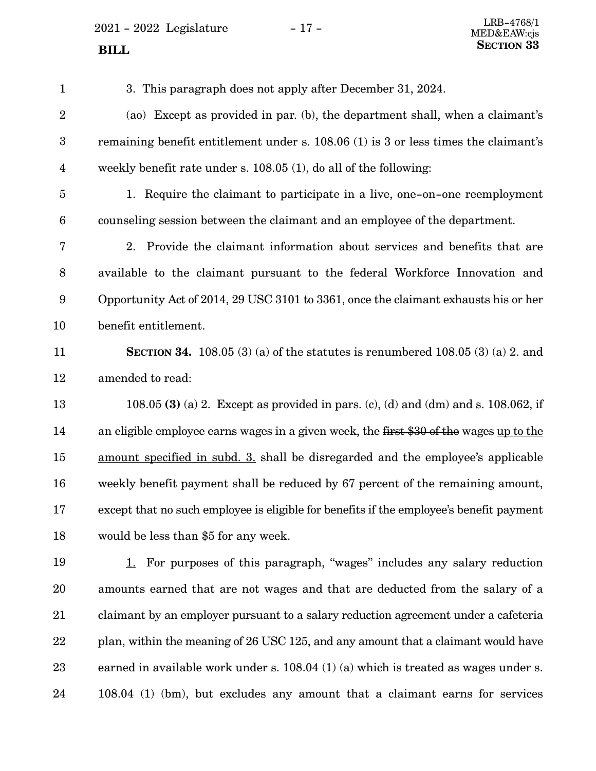$2021 - 2022$  Legislature  $-17 -$ 

3. This paragraph does not apply after December 31, 2024. (ao) Except as provided in par. (b), the department shall, when a claimant's remaining benefit entitlement under s. 108.06 (1) is 3 or less times the claimant's weekly benefit rate under s. 108.05 (1), do all of the following: 1. Require the claimant to participate in a live, one-on-one reemployment counseling session between the claimant and an employee of the department. 2. Provide the claimant information about services and benefits that are available to the claimant pursuant to the federal Workforce Innovation and Opportunity Act of 2014, 29 USC 3101 to 3361, once the claimant exhausts his or her benefit entitlement. **SECTION 34.** 108.05 (3) (a) of the statutes is renumbered 108.05 (3) (a) 2. and amended to read: 108.05 **(3)** (a) 2. Except as provided in pars. (c), (d) and (dm) and s. 108.062, if an eligible employee earns wages in a given week, the first \$30 of the wages up to the amount specified in subd. 3. shall be disregarded and the employee's applicable weekly benefit payment shall be reduced by 67 percent of the remaining amount, except that no such employee is eligible for benefits if the employee's benefit payment would be less than \$5 for any week. 1. For purposes of this paragraph, "wages" includes any salary reduction amounts earned that are not wages and that are deducted from the salary of a claimant by an employer pursuant to a salary reduction agreement under a cafeteria plan, within the meaning of 26 USC 125, and any amount that a claimant would have earned in available work under s. 108.04 (1) (a) which is treated as wages under s. 108.04 (1) (bm), but excludes any amount that a claimant earns for services 1 2 3 4 5 6 7 8 9 10 11 12 13 14 15 16 17 18 19 20 21 22 23 24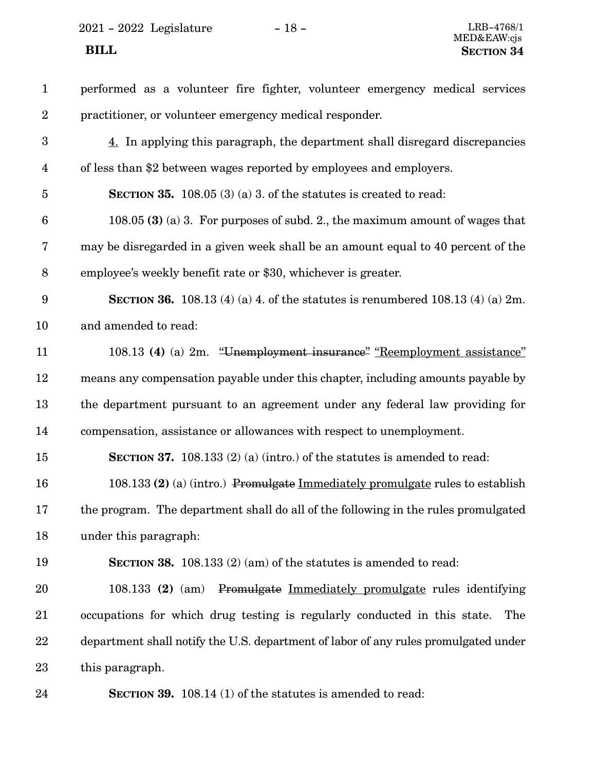$2021 - 2022$  Legislature  $-18 -$ <br>LRB-4768/1

| $\mathbf{1}$            | performed as a volunteer fire fighter, volunteer emergency medical services              |
|-------------------------|------------------------------------------------------------------------------------------|
| $\boldsymbol{2}$        | practitioner, or volunteer emergency medical responder.                                  |
| $\boldsymbol{3}$        | 4. In applying this paragraph, the department shall disregard discrepancies              |
| $\overline{\mathbf{4}}$ | of less than \$2 between wages reported by employees and employers.                      |
| $\overline{5}$          | <b>SECTION 35.</b> 108.05 (3) (a) 3. of the statutes is created to read:                 |
| $\boldsymbol{6}$        | 108.05 (3) (a) 3. For purposes of subd. 2., the maximum amount of wages that             |
| 7                       | may be disregarded in a given week shall be an amount equal to 40 percent of the         |
| $8\,$                   | employee's weekly benefit rate or \$30, whichever is greater.                            |
| $9\phantom{.0}$         | <b>SECTION 36.</b> 108.13 (4) (a) 4. of the statutes is renumbered 108.13 (4) (a) $2m$ . |
| 10                      | and amended to read:                                                                     |
| 11                      | 108.13 (4) (a) 2m. "Unemployment insurance" "Reemployment assistance"                    |
| 12                      | means any compensation payable under this chapter, including amounts payable by          |
| 13                      | the department pursuant to an agreement under any federal law providing for              |
| 14                      | compensation, assistance or allowances with respect to unemployment.                     |
| 15                      | <b>SECTION 37.</b> 108.133 (2) (a) (intro.) of the statures is amended to read:          |
| 16                      | 108.133 (2) (a) (intro.) Promulgate Immediately promulgate rules to establish            |
| 17                      | the program. The department shall do all of the following in the rules promulgated       |
| 18                      | under this paragraph:                                                                    |
| 19                      | <b>SECTION 38.</b> 108.133 (2) (am) of the statutes is amended to read:                  |
| 20                      | Promulgate Immediately promulgate rules identifying<br>108.133 (2) (am)                  |
| 21                      | occupations for which drug testing is regularly conducted in this state.<br>The          |
| 22                      | department shall notify the U.S. department of labor of any rules promulgated under      |
| 23                      | this paragraph.                                                                          |
| 24                      | <b>SECTION 39.</b> 108.14 (1) of the statutes is amended to read:                        |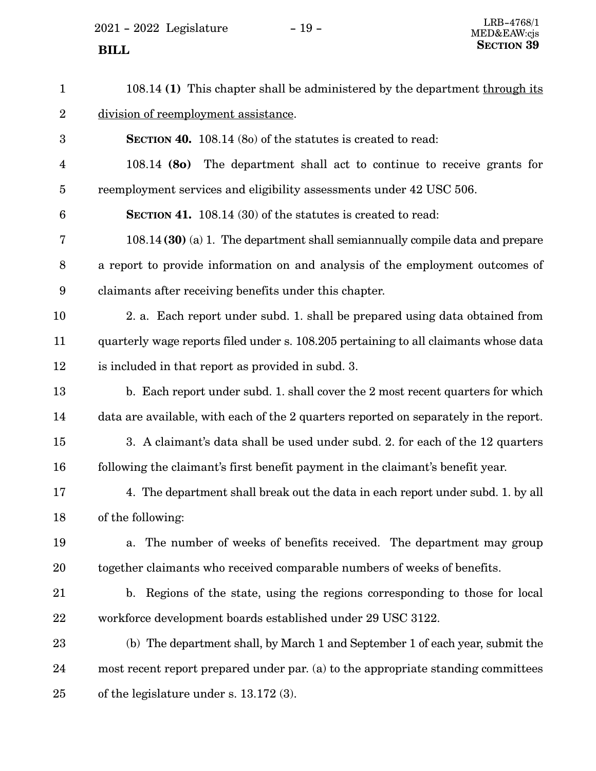$2021 - 2022$  Legislature  $-19 -$ 

108.14 **(1)** This chapter shall be administered by the department through its division of reemployment assistance. **SECTION 40.** 108.14 (8o) of the statutes is created to read: 108.14 **(8o)** The department shall act to continue to receive grants for reemployment services and eligibility assessments under 42 USC 506. **SECTION 41.** 108.14 (30) of the statutes is created to read: 108.14 **(30)** (a) 1. The department shall semiannually compile data and prepare a report to provide information on and analysis of the employment outcomes of claimants after receiving benefits under this chapter. 2. a. Each report under subd. 1. shall be prepared using data obtained from quarterly wage reports filed under s. 108.205 pertaining to all claimants whose data is included in that report as provided in subd. 3. b. Each report under subd. 1. shall cover the 2 most recent quarters for which data are available, with each of the 2 quarters reported on separately in the report. 3. A claimant's data shall be used under subd. 2. for each of the 12 quarters following the claimant's first benefit payment in the claimant's benefit year. 4. The department shall break out the data in each report under subd. 1. by all of the following: a. The number of weeks of benefits received. The department may group together claimants who received comparable numbers of weeks of benefits. b. Regions of the state, using the regions corresponding to those for local workforce development boards established under 29 USC 3122. (b) The department shall, by March 1 and September 1 of each year, submit the most recent report prepared under par. (a) to the appropriate standing committees of the legislature under s. 13.172 (3). 1 2 3 4 5 6 7 8 9 10 11 12 13 14 15 16 17 18 19 20 21 22 23 24 25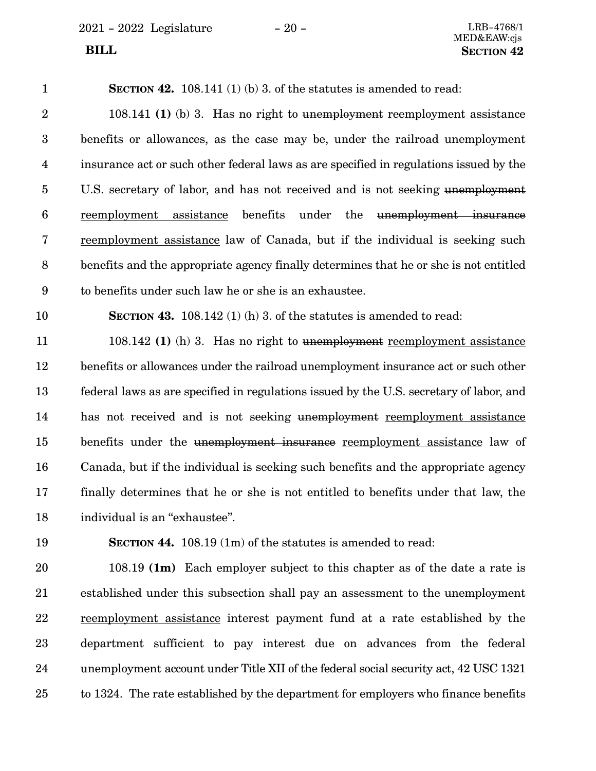2021 - 2022 Legislature - 20 - LRB-4768/1

**SECTION 42.** 108.141 (1) (b) 3. of the statutes is amended to read: 108.141 **(1)** (b) 3. Has no right to unemployment reemployment assistance benefits or allowances, as the case may be, under the railroad unemployment insurance act or such other federal laws as are specified in regulations issued by the U.S. secretary of labor, and has not received and is not seeking unemployment reemployment assistance benefits under the unemployment insurance reemployment assistance law of Canada, but if the individual is seeking such benefits and the appropriate agency finally determines that he or she is not entitled to benefits under such law he or she is an exhaustee. **SECTION 43.** 108.142 (1) (h) 3. of the statutes is amended to read: 108.142 **(1)** (h) 3. Has no right to unemployment reemployment assistance benefits or allowances under the railroad unemployment insurance act or such other federal laws as are specified in regulations issued by the U.S. secretary of labor, and has not received and is not seeking unemployment reemployment assistance benefits under the unemployment insurance reemployment assistance law of Canada, but if the individual is seeking such benefits and the appropriate agency 1 2 3 4 5 6 7 8 9 10 11 12 13 14 15 16

individual is an "exhaustee". 18

19

17

**SECTION 44.** 108.19 (1m) of the statutes is amended to read:

108.19 **(1m)** Each employer subject to this chapter as of the date a rate is established under this subsection shall pay an assessment to the unemployment reemployment assistance interest payment fund at a rate established by the department sufficient to pay interest due on advances from the federal unemployment account under Title XII of the federal social security act, 42 USC 1321 to 1324. The rate established by the department for employers who finance benefits 20 21 22 23 24 25

finally determines that he or she is not entitled to benefits under that law, the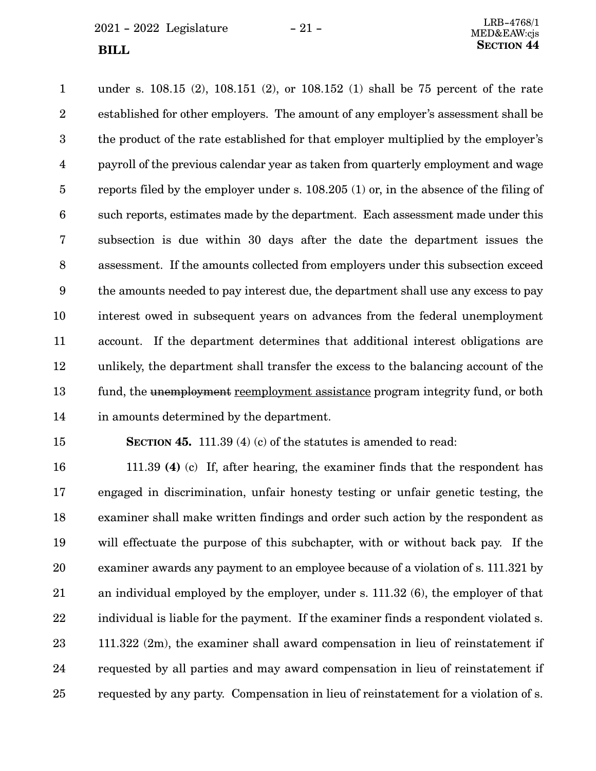under s. 108.15 (2), 108.151 (2), or 108.152 (1) shall be 75 percent of the rate established for other employers. The amount of any employer's assessment shall be the product of the rate established for that employer multiplied by the employer's payroll of the previous calendar year as taken from quarterly employment and wage reports filed by the employer under s. 108.205 (1) or, in the absence of the filing of such reports, estimates made by the department. Each assessment made under this subsection is due within 30 days after the date the department issues the assessment. If the amounts collected from employers under this subsection exceed the amounts needed to pay interest due, the department shall use any excess to pay interest owed in subsequent years on advances from the federal unemployment account. If the department determines that additional interest obligations are unlikely, the department shall transfer the excess to the balancing account of the fund, the unemployment reemployment assistance program integrity fund, or both in amounts determined by the department. 1 2 3 4 5 6 7 8 9 10 11 12 13 14

15

**SECTION 45.** 111.39 (4) (c) of the statutes is amended to read:

111.39 **(4)** (c) If, after hearing, the examiner finds that the respondent has engaged in discrimination, unfair honesty testing or unfair genetic testing, the examiner shall make written findings and order such action by the respondent as will effectuate the purpose of this subchapter, with or without back pay. If the examiner awards any payment to an employee because of a violation of s. 111.321 by an individual employed by the employer, under s. 111.32 (6), the employer of that individual is liable for the payment. If the examiner finds a respondent violated s. 111.322 (2m), the examiner shall award compensation in lieu of reinstatement if requested by all parties and may award compensation in lieu of reinstatement if requested by any party. Compensation in lieu of reinstatement for a violation of s. 16 17 18 19 20 21 22 23 24 25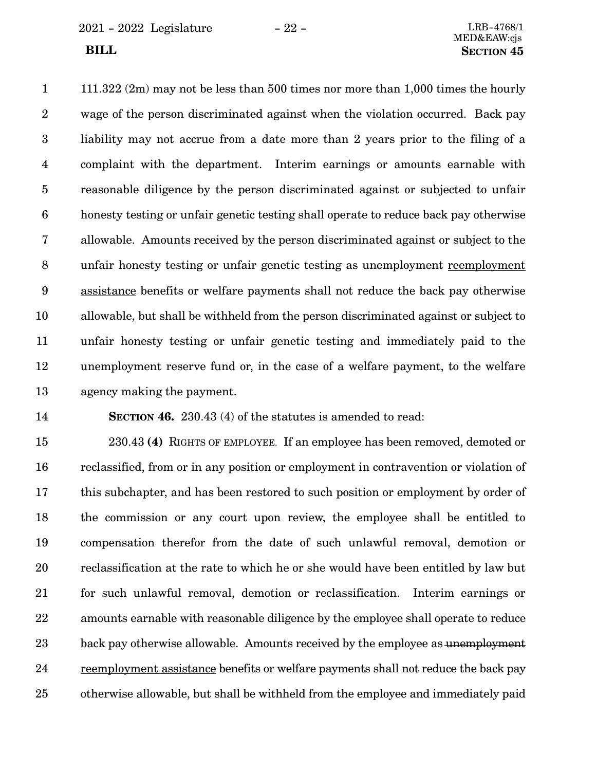2021 - 2022 Legislature - 22 - LRB-4768/1

111.322 (2m) may not be less than 500 times nor more than 1,000 times the hourly wage of the person discriminated against when the violation occurred. Back pay liability may not accrue from a date more than 2 years prior to the filing of a complaint with the department. Interim earnings or amounts earnable with reasonable diligence by the person discriminated against or subjected to unfair honesty testing or unfair genetic testing shall operate to reduce back pay otherwise allowable. Amounts received by the person discriminated against or subject to the unfair honesty testing or unfair genetic testing as unemployment reemployment assistance benefits or welfare payments shall not reduce the back pay otherwise allowable, but shall be withheld from the person discriminated against or subject to unfair honesty testing or unfair genetic testing and immediately paid to the unemployment reserve fund or, in the case of a welfare payment, to the welfare agency making the payment. 1 2 3 4 5 6 7 8 9 10 11 12 13

14

**SECTION 46.** 230.43 (4) of the statutes is amended to read:

230.43 **(4)** RIGHTS OF EMPLOYEE. If an employee has been removed, demoted or reclassified, from or in any position or employment in contravention or violation of this subchapter, and has been restored to such position or employment by order of the commission or any court upon review, the employee shall be entitled to compensation therefor from the date of such unlawful removal, demotion or reclassification at the rate to which he or she would have been entitled by law but for such unlawful removal, demotion or reclassification. Interim earnings or amounts earnable with reasonable diligence by the employee shall operate to reduce back pay otherwise allowable. Amounts received by the employee as unemployment reemployment assistance benefits or welfare payments shall not reduce the back pay otherwise allowable, but shall be withheld from the employee and immediately paid 15 16 17 18 19 20 21 22 23 24 25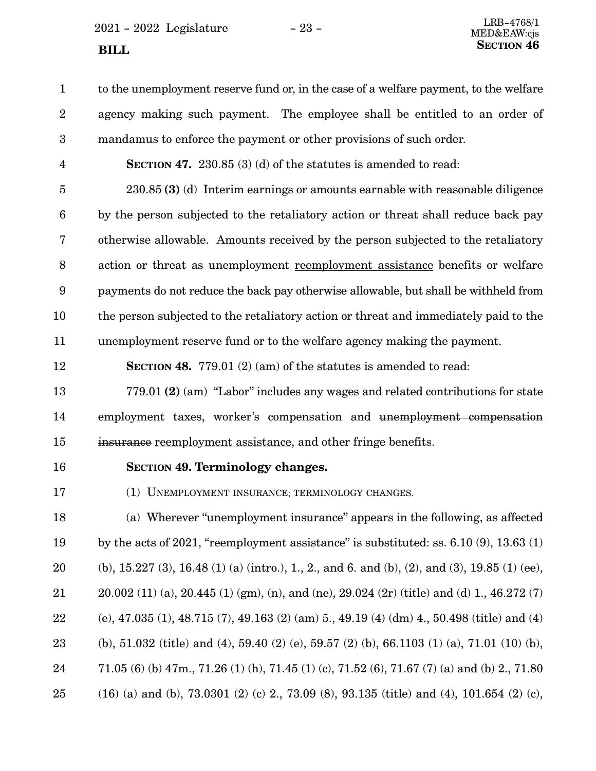$2021 - 2022$  Legislature  $-23 -$ **SECTION** 46

to the unemployment reserve fund or, in the case of a welfare payment, to the welfare agency making such payment. The employee shall be entitled to an order of mandamus to enforce the payment or other provisions of such order. 1 2 3

**SECTION 47.** 230.85 (3) (d) of the statutes is amended to read: 4

230.85 **(3)** (d) Interim earnings or amounts earnable with reasonable diligence by the person subjected to the retaliatory action or threat shall reduce back pay otherwise allowable. Amounts received by the person subjected to the retaliatory action or threat as unemployment reemployment assistance benefits or welfare payments do not reduce the back pay otherwise allowable, but shall be withheld from the person subjected to the retaliatory action or threat and immediately paid to the unemployment reserve fund or to the welfare agency making the payment. 5 6 7 8 9 10 11

12

**SECTION 48.** 779.01 (2) (am) of the statutes is amended to read:

779.01 **(2)** (am) "Labor" includes any wages and related contributions for state employment taxes, worker's compensation and unemployment compensation insurance reemployment assistance, and other fringe benefits. 13 14 15

16

# **SECTION** 49. Terminology changes.

(1) UNEMPLOYMENT INSURANCE; TERMINOLOGY CHANGES. 17

(a) Wherever "unemployment insurance" appears in the following, as affected by the acts of  $2021$ , "reemployment assistance" is substituted: ss.  $6.10(9)$ ,  $13.63(1)$ (b),  $15.227(3)$ ,  $16.48(1)(a)$  (intro.), 1, 2, and 6, and (b), (2), and (3),  $19.85(1)(ee)$ , 20.002 (11) (a), 20.445 (1) (gm), (n), and (ne), 29.024 (2r) (title) and (d) 1., 46.272 (7) (e), 47.035 (1), 48.715 (7), 49.163 (2) (am) 5., 49.19 (4) (dm) 4., 50.498 (title) and (4) (b), 51.032 (title) and (4), 59.40 (2) (e), 59.57 (2) (b), 66.1103 (1) (a), 71.01 (10) (b), 71.05 (6) (b) 47m., 71.26 (1) (h), 71.45 (1) (c), 71.52 (6), 71.67 (7) (a) and (b) 2., 71.80 (16) (a) and (b), 73.0301 (2) (c) 2., 73.09 (8), 93.135 (title) and (4), 101.654 (2) (c), 18 19 20 21 22 23 24 25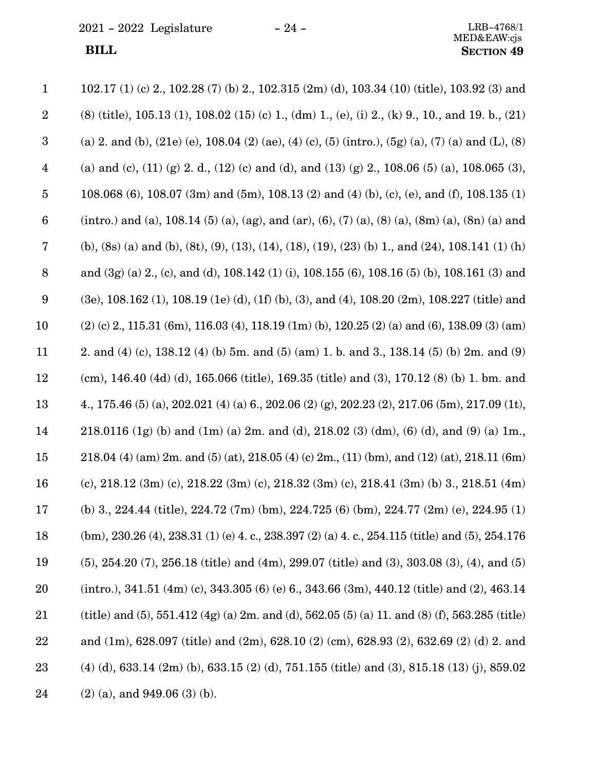$2021$  -  $2022\,$  Legislature  $\hskip 5mm -24$  -

| $\mathbf{1}$     | 102.17 (1) (c) 2, 102.28 (7) (b) 2, 102.315 (2m) (d), 103.34 (10) (title), 103.92 (3) and           |
|------------------|-----------------------------------------------------------------------------------------------------|
| $\boldsymbol{2}$ | $(8)$ (title), 105.13 (1), 108.02 (15) (c) 1, (dm) 1, (e), (i) 2, (k) 9, 10, and 19. b., (21)       |
| $\boldsymbol{3}$ | (a) 2. and (b), (21e) (e), 108.04 (2) (ae), (4) (c), (5) (intro.), (5g) (a), (7) (a) and (L), (8)   |
| $\overline{4}$   | (a) and (c), (11) (g) 2. d., (12) (c) and (d), and (13) (g) 2., 108.06 (5) (a), 108.065 (3),        |
| $\bf 5$          | 108.068 (6), 108.07 (3m) and (5m), 108.13 (2) and (4) (b), (c), (e), and (f), 108.135 (1)           |
| $6\phantom{.}6$  | (intro.) and (a), 108.14 (5) (a), (ag), and (ar), (6), (7) (a), (8) (a), (8m) (a), (8n) (a) and     |
| 7                | (b), (8s) (a) and (b), (8t), (9), (13), (14), (18), (19), (23) (b) 1, and (24), 108.141 (1) (h)     |
| 8                | and $(3g)$ (a) 2, (c), and (d), 108.142 (1) (i), 108.155 (6), 108.16 (5) (b), 108.161 (3) and       |
| 9                | $(3e)$ , 108.162 (1), 108.19 (1e) (d), (1f) (b), (3), and (4), 108.20 (2m), 108.227 (title) and     |
| 10               | $(2)$ (c) 2, 115.31 (6m), 116.03 (4), 118.19 (1m) (b), 120.25 (2) (a) and (6), 138.09 (3) (am)      |
| 11               | 2. and (4) (c), 138.12 (4) (b) 5m. and (5) (am) 1. b. and 3., 138.14 (5) (b) 2m. and (9)            |
| 12               | (cm), 146.40 (4d) (d), 165.066 (title), 169.35 (title) and (3), 170.12 (8) (b) 1. bm. and           |
| 13               | 4., 175.46 (5) (a), 202.021 (4) (a) 6., 202.06 (2) (g), 202.23 (2), 217.06 (5m), 217.09 (1t),       |
| 14               | 218.0116 (1g) (b) and (1m) (a) 2m. and (d), 218.02 (3) (dm), (6) (d), and (9) (a) 1m.,              |
| 15               | 218.04 (4) (am) 2m, and (5) (at), 218.05 (4) (c) 2m, (11) (bm), and (12) (at), 218.11 (6m)          |
| 16               | (c), 218.12 (3m) (c), 218.22 (3m) (c), 218.32 (3m) (c), 218.41 (3m) (b) 3., 218.51 (4m)             |
| 17               | (b) 3., 224.44 (title), 224.72 (7m) (bm), 224.725 (6) (bm), 224.77 (2m) (e), 224.95 (1)             |
| 18               | $(bm)$ , 230.26 (4), 238.31 (1) (e) 4. c., 238.397 (2) (a) 4. c., 254.115 (title) and (5), 254.176  |
| 19               | $(5)$ , 254.20 $(7)$ , 256.18 (title) and (4m), 299.07 (title) and (3), 303.08 (3), (4), and (5)    |
| 20               | $(intro.), 341.51 (4m) (c), 343.305 (6) (e) 6., 343.66 (3m), 440.12 (title) and (2), 463.14$        |
| 21               | (title) and (5), 551.412 (4g) (a) 2m. and (d), 562.05 (5) (a) 11. and (8) (f), 563.285 (title)      |
| 22               | and $(1m)$ , 628.097 (title) and $(2m)$ , 628.10 $(2)$ (cm), 628.93 $(2)$ , 632.69 $(2)$ (d) 2. and |
| 23               | $(4)$ (d), 633.14 (2m) (b), 633.15 (2) (d), 751.155 (title) and (3), 815.18 (13) (j), 859.02        |
| 24               | $(2)$ (a), and 949.06 (3) (b).                                                                      |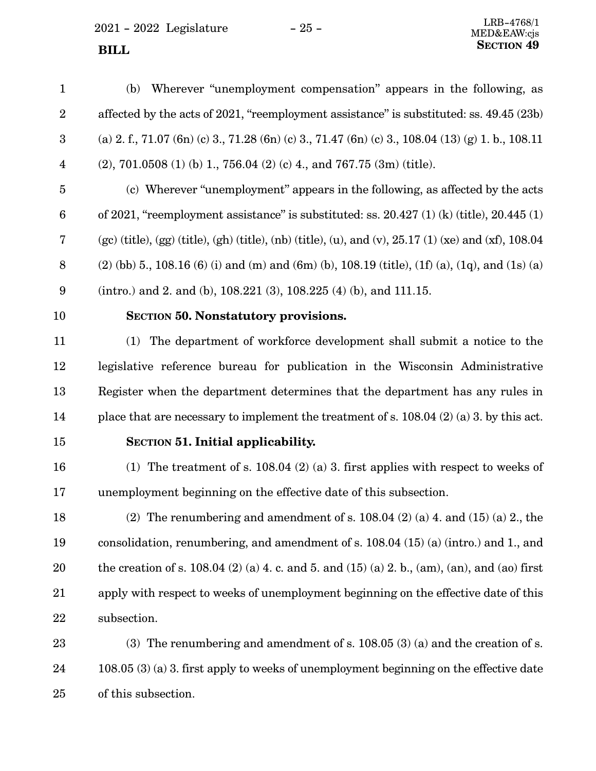<span id="page-24-0"></span> $2021 - 2022$  Legislature  $-25 -$ 

(b) Wherever "unemployment compensation" appears in the following, as affected by the acts of 2021, "reemployment assistance" is substituted: ss. 49.45 (23b) (a) 2. f., 71.07 (6n) (c) 3., 71.28 (6n) (c) 3., 71.47 (6n) (c) 3., 108.04 (13) (g) 1. b., 108.11 (2), 701.0508 (1) (b) 1., 756.04 (2) (c) 4., and 767.75 (3m) (title). (c) Wherever "unemployment" appears in the following, as affected by the acts of 2021, "reemployment assistance" is substituted: ss. 20.427 (1) (k) (title), 20.445 (1) (gc) (title), (gg) (title), (gh) (title), (nb) (title), (u), and (v),  $25.17(1)$  (xe) and (xf),  $108.04$  $(2)$  (bb) 5., 108.16 (6) (i) and (m) and (6m) (b), 108.19 (title), (1f) (a), (1q), and (1s) (a) (intro.) and 2. and (b), 108.221 (3), 108.225 (4) (b), and 111.15. **SECTION 50.**0**Nonstatutory provisions.** (1) The department of workforce development shall submit a notice to the legislative reference bureau for publication in the Wisconsin Administrative Register when the department determines that the department has any rules in place that are necessary to implement the treatment of s. 108.04 (2) (a) 3. by this act. **SECTION** 51. Initial applicability. (1) The treatment of s. 108.04 (2) (a) 3. first applies with respect to weeks of unemployment beginning on the effective date of this subsection. (2) The renumbering and amendment of s.  $108.04$  (2) (a) 4. and (15) (a) 2., the consolidation, renumbering, and amendment of s. 108.04 (15) (a) (intro.) and 1., and the creation of s. 108.04 (2) (a) 4, c. and 5, and (15) (a) 2, b., (am), (an), and (ao) first apply with respect to weeks of unemployment beginning on the effective date of this subsection. (3) The renumbering and amendment of s. 108.05 (3) (a) and the creation of s. 108.05 (3) (a) 3. first apply to weeks of unemployment beginning on the effective date 1 2 3 4 5 6 7 8 9 10 11 12 13 14 15 16 17 18 19 20 21 22 23 24

of this subsection. 25